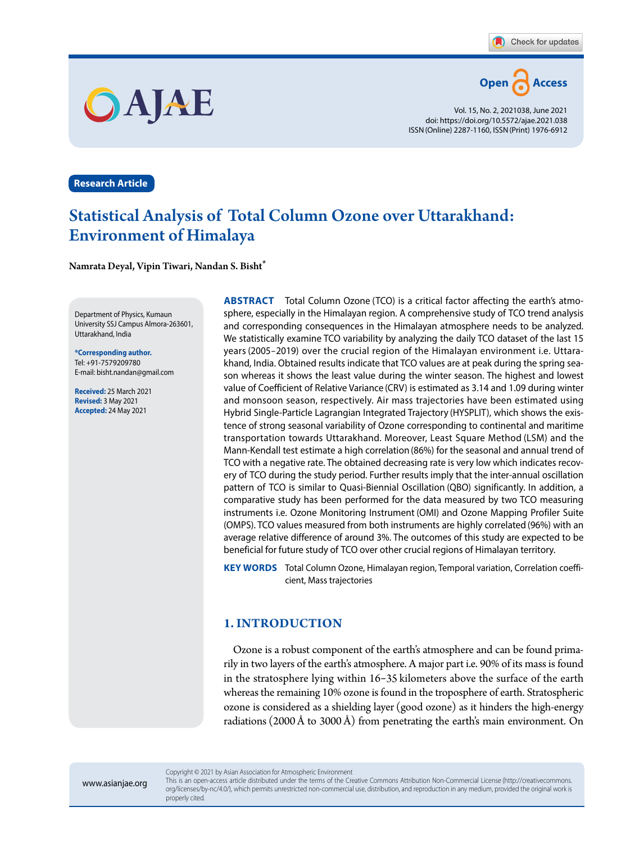

Vol. 15, No. 2, 2021038, June 2021 doi: https://doi.org/10.5572/ajae.2021.038 ISSN(Online) 2287-1160, ISSN(Print) 1976-6912

**Research Article**

# Statistical Analysis of Total Column Ozone over Uttarakhand: Environment of Himalaya

Namrata Deyal**,** Vipin Tiwari**,** Nandan S. Bisht\*

OAJAE

Department of Physics, Kumaun University SSJ Campus Almora-263601, Uttarakhand, India

**\*Corresponding author.** Tel: +91-7579209780 E-mail: bisht.nandan@gmail.com

**Received:** 25 March 2021 **Revised:** 3 May 2021 **Accepted:** 24 May 2021

**ABSTRACT** Total Column Ozone (TCO) is a critical factor affecting the earth's atmosphere, especially in the Himalayan region. A comprehensive study of TCO trend analysis and corresponding consequences in the Himalayan atmosphere needs to be analyzed. We statistically examine TCO variability by analyzing the daily TCO dataset of the last 15 years (2005-2019) over the crucial region of the Himalayan environment i.e. Uttarakhand, India. Obtained results indicate that TCO values are at peak during the spring season whereas it shows the least value during the winter season. The highest and lowest value of Coefficient of Relative Variance (CRV) is estimated as 3.14 and 1.09 during winter and monsoon season, respectively. Air mass trajectories have been estimated using Hybrid Single-Particle Lagrangian Integrated Trajectory (HYSPLIT), which shows the existence of strong seasonal variability of Ozone corresponding to continental and maritime transportation towards Uttarakhand. Moreover, Least Square Method (LSM) and the Mann-Kendall test estimate a high correlation (86%) for the seasonal and annual trend of TCO with a negative rate. The obtained decreasing rate is very low which indicates recovery of TCO during the study period. Further results imply that the inter-annual oscillation pattern of TCO is similar to Quasi-Biennial Oscillation (QBO) significantly. In addition, a comparative study has been performed for the data measured by two TCO measuring instruments i.e. Ozone Monitoring Instrument (OMI) and Ozone Mapping Profiler Suite (OMPS). TCO values measured from both instruments are highly correlated (96%) with an average relative difference of around 3%. The outcomes of this study are expected to be beneficial for future study of TCO over other crucial regions of Himalayan territory.

**KEY WORDS** Total Column Ozone, Himalayan region, Temporal variation, Correlation coefficient, Mass trajectories

## **1. INTRODUCTION**

Ozone is a robust component of the earth's atmosphere and can be found primarily in two layers of the earth's atmosphere. A major part i.e. 90% of its mass is found in the stratosphere lying within 16-35 kilometers above the surface of the earth whereas the remaining 10% ozone is found in the troposphere of earth. Stratospheric ozone is considered as a shielding layer (good ozone) as it hinders the high-energy radiations (2000 Å to 3000 Å) from penetrating the earth's main environment. On

www.asianjae.org

Copyright © 2021 by Asian Association for Atmospheric Environment

This is an open-access article distributed under the terms of the Creative Commons Attribution Non-Commercial License (http://creativecommons. org/licenses/by-nc/4.0/), which permits unrestricted non-commercial use, distribution, and reproduction in any medium, provided the original work is properly cited.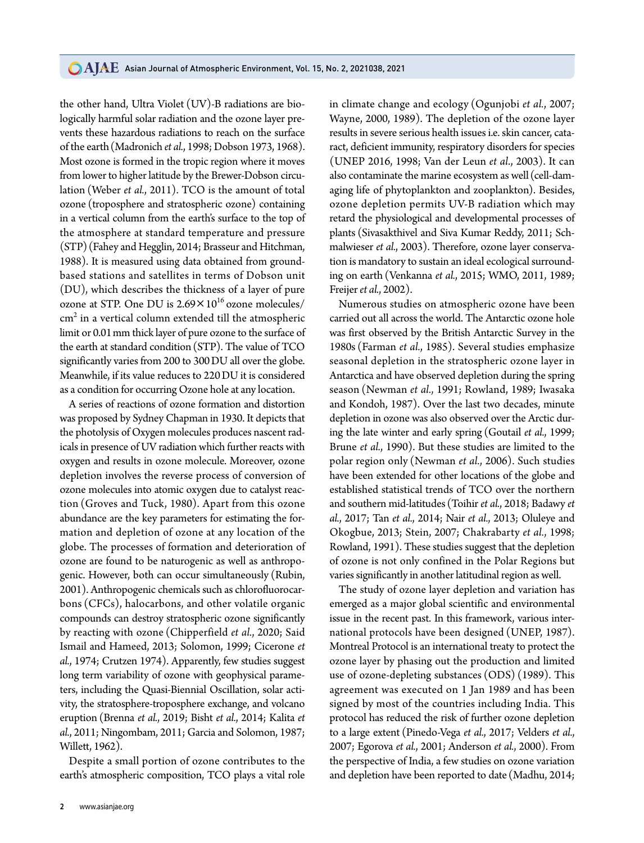the other hand, Ultra Violet (UV)-B radiations are biologically harmful solar radiation and the ozone layer prevents these hazardous radiations to reach on the surface of the earth(Madronich *et al.*, 1998; Dobson 1973, 1968). Most ozone is formed in the tropic region where it moves from lower to higher latitude by the Brewer-Dobson circulation (Weber *et al.*, 2011). TCO is the amount of total ozone (troposphere and stratospheric ozone) containing in a vertical column from the earth's surface to the top of the atmosphere at standard temperature and pressure (STP) (Fahey and Hegglin, 2014; Brasseur and Hitchman, 1988). It is measured using data obtained from groundbased stations and satellites in terms of Dobson unit (DU), which describes the thickness of a layer of pure ozone at STP. One DU is  $2.69 \times 10^{16}$  ozone molecules/  $\rm cm^2$  in a vertical column extended till the atmospheric limit or 0.01mm thick layer of pure ozone to the surface of the earth at standard condition(STP). The value of TCO significantly varies from 200 to 300DU all over the globe. Meanwhile, if its value reduces to 220DU it is considered as a condition for occurring Ozone hole at any location.

A series of reactions of ozone formation and distortion was proposed by Sydney Chapman in 1930. It depicts that the photolysis of Oxygen molecules produces nascent radicals in presence of UV radiation which further reacts with oxygen and results in ozone molecule. Moreover, ozone depletion involves the reverse process of conversion of ozone molecules into atomic oxygen due to catalyst reaction (Groves and Tuck, 1980). Apart from this ozone abundance are the key parameters for estimating the formation and depletion of ozone at any location of the globe. The processes of formation and deterioration of ozone are found to be naturogenic as well as anthropogenic. However, both can occur simultaneously (Rubin, 2001). Anthropogenic chemicals such as chlorofluorocarbons (CFCs), halocarbons, and other volatile organic compounds can destroy stratospheric ozone significantly by reacting with ozone (Chipperfield *et al.*, 2020; Said Ismail and Hameed, 2013; Solomon, 1999; Cicerone *et al.*, 1974; Crutzen 1974). Apparently, few studies suggest long term variability of ozone with geophysical parameters, including the Quasi-Biennial Oscillation, solar activity, the stratosphere-troposphere exchange, and volcano eruption (Brenna *et al.*, 2019; Bisht *et al.*, 2014; Kalita *et al.*, 2011; Ningombam, 2011; Garcia and Solomon, 1987; Willett, 1962).

Despite a small portion of ozone contributes to the earth's atmospheric composition, TCO plays a vital role

**2** www.asianjae.org

in climate change and ecology (Ogunjobi *et al.*, 2007; Wayne, 2000, 1989). The depletion of the ozone layer results in severe serious health issues i.e. skin cancer, cataract, deficient immunity, respiratory disorders for species (UNEP 2016, 1998; Van der Leun *et al*., 2003). It can also contaminate the marine ecosystem as well (cell-damaging life of phytoplankton and zooplankton). Besides, ozone depletion permits UV-B radiation which may retard the physiological and developmental processes of plants (Sivasakthivel and Siva Kumar Reddy, 2011; Schmalwieser *et al.*, 2003). Therefore, ozone layer conservation is mandatory to sustain an ideal ecological surrounding on earth (Venkanna *et al.*, 2015; WMO, 2011, 1989; Freijer *et al.*, 2002).

Numerous studies on atmospheric ozone have been carried out all across the world. The Antarctic ozone hole was first observed by the British Antarctic Survey in the 1980s (Farman *et al.*, 1985). Several studies emphasize seasonal depletion in the stratospheric ozone layer in Antarctica and have observed depletion during the spring season (Newman *et al.*, 1991; Rowland, 1989; Iwasaka and Kondoh, 1987). Over the last two decades, minute depletion in ozone was also observed over the Arctic during the late winter and early spring (Goutail *et al.*, 1999; Brune *et al.*, 1990). But these studies are limited to the polar region only (Newman *et al.*, 2006). Such studies have been extended for other locations of the globe and established statistical trends of TCO over the northern and southern mid-latitudes (Toihir *et al.*, 2018; Badawy *et al.*, 2017; Tan *et al.*, 2014; Nair *et al.*, 2013; Oluleye and Okogbue, 2013; Stein, 2007; Chakrabarty *et al.*, 1998; Rowland, 1991). These studies suggest that the depletion of ozone is not only confined in the Polar Regions but varies significantly in another latitudinal region as well.

The study of ozone layer depletion and variation has emerged as a major global scientific and environmental issue in the recent past. In this framework, various international protocols have been designed (UNEP, 1987). Montreal Protocol is an international treaty to protect the ozone layer by phasing out the production and limited use of ozone-depleting substances (ODS) (1989). This agreement was executed on 1 Jan 1989 and has been signed by most of the countries including India. This protocol has reduced the risk of further ozone depletion to a large extent (Pinedo-Vega *et al.*, 2017; Velders *et al.*, 2007; Egorova *et al.*, 2001; Anderson *et al.*, 2000). From the perspective of India, a few studies on ozone variation and depletion have been reported to date (Madhu, 2014;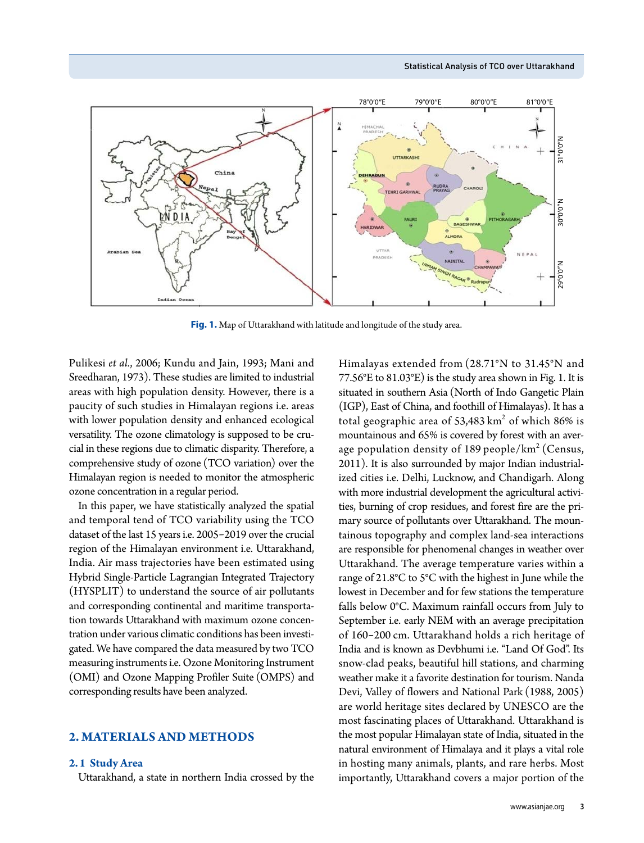

**Fig. 1.** Map of Uttarakhand with latitude and longitude of the study area.

Pulikesi *et al.*, 2006; Kundu and Jain, 1993; Mani and Sreedharan, 1973). These studies are limited to industrial areas with high population density. However, there is a paucity of such studies in Himalayan regions i.e. areas with lower population density and enhanced ecological versatility. The ozone climatology is supposed to be crucial in these regions due to climatic disparity. Therefore, a comprehensive study of ozone (TCO variation) over the Himalayan region is needed to monitor the atmospheric ozone concentration in a regular period.

In this paper, we have statistically analyzed the spatial and temporal tend of TCO variability using the TCO dataset of the last 15 years i.e. 2005-2019 over the crucial region of the Himalayan environment i.e. Uttarakhand, India. Air mass trajectories have been estimated using Hybrid Single-Particle Lagrangian Integrated Trajectory (HYSPLIT) to understand the source of air pollutants and corresponding continental and maritime transportation towards Uttarakhand with maximum ozone concentration under various climatic conditions has been investigated. We have compared the data measured by two TCO measuring instruments i.e. Ozone Monitoring Instrument (OMI) and Ozone Mapping Profiler Suite (OMPS) and corresponding results have been analyzed.

## **2. MATERIALS AND METHODS**

#### **2.1 Study Area**

Uttarakhand, a state in northern India crossed by the

Himalayas extended from (28.71°N to 31.45°N and 77.56°E to 81.03°E) is the study area shown in Fig. 1. It is situated in southern Asia (North of Indo Gangetic Plain (IGP), East of China, and foothill of Himalayas). It has a total geographic area of 53,483  $\rm km^2$  of which 86% is mountainous and 65% is covered by forest with an average population density of 189 people/ $km^2$  (Census, 2011). It is also surrounded by major Indian industrialized cities i.e. Delhi, Lucknow, and Chandigarh. Along with more industrial development the agricultural activities, burning of crop residues, and forest fire are the primary source of pollutants over Uttarakhand. The mountainous topography and complex land-sea interactions are responsible for phenomenal changes in weather over Uttarakhand. The average temperature varies within a range of 21.8°C to 5°C with the highest in June while the lowest in December and for few stations the temperature falls below 0°C. Maximum rainfall occurs from July to September i.e. early NEM with an average precipitation of 160-200 cm. Uttarakhand holds a rich heritage of India and is known as Devbhumi i.e. "Land Of God". Its snow-clad peaks, beautiful hill stations, and charming weather make it a favorite destination for tourism. Nanda Devi, Valley of flowers and National Park (1988, 2005) are world heritage sites declared by UNESCO are the most fascinating places of Uttarakhand. Uttarakhand is the most popular Himalayan state of India, situated in the natural environment of Himalaya and it plays a vital role in hosting many animals, plants, and rare herbs. Most importantly, Uttarakhand covers a major portion of the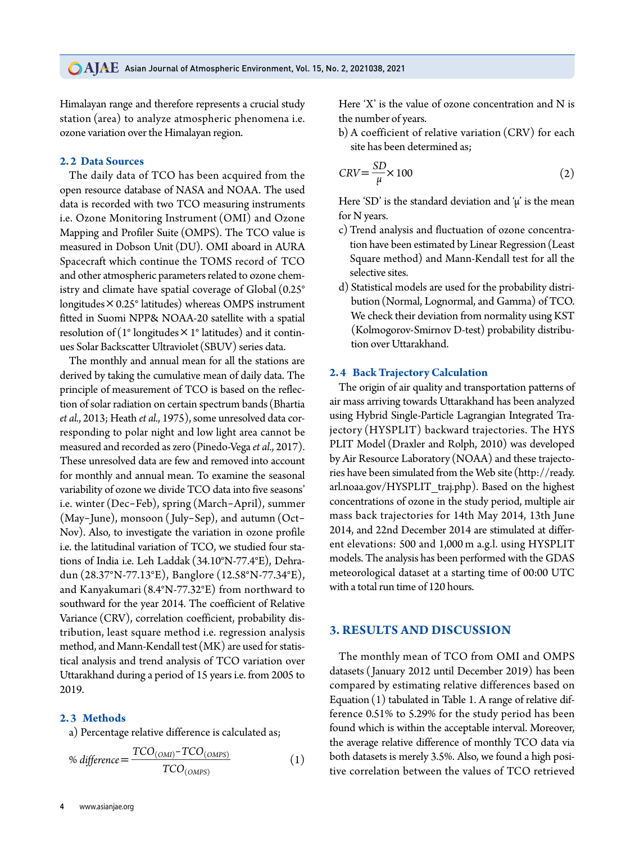Himalayan range and therefore represents a crucial study station (area) to analyze atmospheric phenomena i.e. ozone variation over the Himalayan region.

## **2.2 Data Sources**

The daily data of TCO has been acquired from the open resource database of NASA and NOAA. The used data is recorded with two TCO measuring instruments i.e. Ozone Monitoring Instrument (OMI) and Ozone Mapping and Profiler Suite (OMPS). The TCO value is measured in Dobson Unit (DU). OMI aboard in AURA Spacecraft which continue the TOMS record of TCO and other atmospheric parameters related to ozone chemistry and climate have spatial coverage of Global (0.25° longitudes $\times 0.25^\circ$  latitudes) whereas OMPS instrument fitted in Suomi NPP& NOAA-20 satellite with a spatial resolution of ( $1^{\circ}$  longitudes  $\times$   $1^{\circ}$  latitudes) and it continues Solar Backscatter Ultraviolet (SBUV) series data.

The monthly and annual mean for all the stations are derived by taking the cumulative mean of daily data. The principle of measurement of TCO is based on the reflection of solar radiation on certain spectrum bands (Bhartia *et al.*, 2013; Heath *et al.*, 1975), some unresolved data corresponding to polar night and low light area cannot be measured and recorded as zero(Pinedo-Vega *et al.*, 2017). These unresolved data are few and removed into account for monthly and annual mean. To examine the seasonal variability of ozone we divide TCO data into five seasons' i.e. winter (Dec-Feb), spring (March-April), summer (May-June), monsoon ( July-Sep), and autumn (Oct-Nov). Also, to investigate the variation in ozone profile i.e. the latitudinal variation of TCO, we studied four stations of India i.e. Leh Laddak (34.10°N-77.4°E), Dehradun (28.37°N-77.13°E), Banglore (12.58°N-77.34°E), and Kanyakumari (8.4°N-77.32°E) from northward to southward for the year 2014. The coefficient of Relative Variance (CRV), correlation coefficient, probability distribution, least square method i.e. regression analysis method, and Mann-Kendall test (MK) are used for statistical analysis and trend analysis of TCO variation over Uttarakhand during a period of 15 years i.e. from 2005 to 2019.

## **2.3 Methods**

a) Percentage relative difference is calculated as;

% difference = 
$$
\frac{TCO_{(OMI)} - TCO_{(OMPS)}}{TCO_{(OMPS)}}
$$
 (1)

Here 'X' is the value of ozone concentration and N is the number of years.

b) A coefficient of relative variation (CRV) for each site has been determined as;

$$
CRV = \frac{SD}{\mu} \times 100
$$
 (2)

Here 'SD' is the standard deviation and  $\mu$ ' is the mean for N years.

- c) Trend analysis and fluctuation of ozone concentration have been estimated by Linear Regression(Least Square method) and Mann-Kendall test for all the selective sites.
- d) Statistical models are used for the probability distribution(Normal, Lognormal, and Gamma) of TCO. We check their deviation from normality using KST (Kolmogorov-Smirnov D-test) probability distribution over Uttarakhand.

#### **2.4 Back Trajectory Calculation**

The origin of air quality and transportation patterns of air mass arriving towards Uttarakhand has been analyzed using Hybrid Single-Particle Lagrangian Integrated Trajectory (HYSPLIT) backward trajectories. The HYS PLIT Model (Draxler and Rolph, 2010) was developed by Air Resource Laboratory (NOAA) and these trajectories have been simulated from the Web site (http://ready. arl.noaa.gov/HYSPLIT\_traj.php). Based on the highest concentrations of ozone in the study period, multiple air mass back trajectories for 14th May 2014, 13th June 2014, and 22nd December 2014 are stimulated at different elevations: 500 and 1,000 m a.g.l. using HYSPLIT models. The analysis has been performed with the GDAS meteorological dataset at a starting time of 00:00 UTC with a total run time of 120 hours.

## **3. RESULTS AND DISCUSSION**

The monthly mean of TCO from OMI and OMPS datasets ( January 2012 until December 2019) has been compared by estimating relative differences based on Equation (1) tabulated in Table 1. A range of relative difference 0.51% to 5.29% for the study period has been found which is within the acceptable interval. Moreover, the average relative difference of monthly TCO data via both datasets is merely 3.5%. Also, we found a high positive correlation between the values of TCO retrieved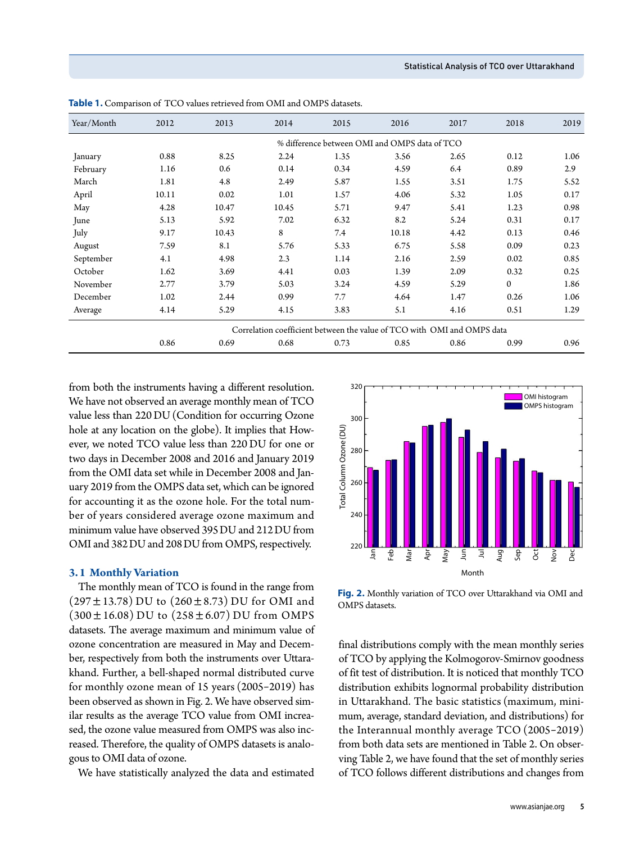| Year/Month | 2012  | 2013  | 2014  | 2015 | 2016                                                                    | 2017 | 2018     | 2019 |
|------------|-------|-------|-------|------|-------------------------------------------------------------------------|------|----------|------|
|            |       |       |       |      | % difference between OMI and OMPS data of TCO                           |      |          |      |
| January    | 0.88  | 8.25  | 2.24  | 1.35 | 3.56                                                                    | 2.65 | 0.12     | 1.06 |
| February   | 1.16  | 0.6   | 0.14  | 0.34 | 4.59                                                                    | 6.4  | 0.89     | 2.9  |
| March      | 1.81  | 4.8   | 2.49  | 5.87 | 1.55                                                                    | 3.51 | 1.75     | 5.52 |
| April      | 10.11 | 0.02  | 1.01  | 1.57 | 4.06                                                                    | 5.32 | 1.05     | 0.17 |
| May        | 4.28  | 10.47 | 10.45 | 5.71 | 9.47                                                                    | 5.41 | 1.23     | 0.98 |
| June       | 5.13  | 5.92  | 7.02  | 6.32 | 8.2                                                                     | 5.24 | 0.31     | 0.17 |
| July       | 9.17  | 10.43 | 8     | 7.4  | 10.18                                                                   | 4.42 | 0.13     | 0.46 |
| August     | 7.59  | 8.1   | 5.76  | 5.33 | 6.75                                                                    | 5.58 | 0.09     | 0.23 |
| September  | 4.1   | 4.98  | 2.3   | 1.14 | 2.16                                                                    | 2.59 | 0.02     | 0.85 |
| October    | 1.62  | 3.69  | 4.41  | 0.03 | 1.39                                                                    | 2.09 | 0.32     | 0.25 |
| November   | 2.77  | 3.79  | 5.03  | 3.24 | 4.59                                                                    | 5.29 | $\Omega$ | 1.86 |
| December   | 1.02  | 2.44  | 0.99  | 7.7  | 4.64                                                                    | 1.47 | 0.26     | 1.06 |
| Average    | 4.14  | 5.29  | 4.15  | 3.83 | 5.1                                                                     | 4.16 | 0.51     | 1.29 |
|            |       |       |       |      | Correlation coefficient between the value of TCO with OMI and OMPS data |      |          |      |
|            | 0.86  | 0.69  | 0.68  | 0.73 | 0.85                                                                    | 0.86 | 0.99     | 0.96 |

**Table 1.** Comparison of TCO values retrieved from OMI and OMPS datasets.

from both the instruments having a different resolution. We have not observed an average monthly mean of TCO value less than 220 DU (Condition for occurring Ozone hole at any location on the globe). It implies that However, we noted TCO value less than 220 DU for one or two days in December 2008 and 2016 and January 2019 from the OMI data set while in December 2008 and January 2019 from the OMPS data set, which can be ignored for accounting it as the ozone hole. For the total number of years considered average ozone maximum and minimum value have observed 395DU and 212DU from OMI and 382DU and 208DU from OMPS, respectively.

#### **3.1 Monthly Variation**

The monthly mean of TCO is found in the range from  $(297 \pm 13.78)$  DU to  $(260 \pm 8.73)$  DU for OMI and  $(300 \pm 16.08)$  DU to  $(258 \pm 6.07)$  DU from OMPS datasets. The average maximum and minimum value of ozone concentration are measured in May and December, respectively from both the instruments over Uttarakhand. Further, a bell-shaped normal distributed curve for monthly ozone mean of 15 years (2005-2019) has been observed as shown in Fig. 2. We have observed similar results as the average TCO value from OMI increased, the ozone value measured from OMPS was also increased. Therefore, the quality of OMPS datasets is analogous to OMI data of ozone.

We have statistically analyzed the data and estimated



**Fig. 2.** Monthly variation of TCO over Uttarakhand via OMI and OMPS datasets.

final distributions comply with the mean monthly series of TCO by applying the Kolmogorov-Smirnov goodness of fit test of distribution. It is noticed that monthly TCO distribution exhibits lognormal probability distribution in Uttarakhand. The basic statistics (maximum, minimum, average, standard deviation, and distributions) for the Interannual monthly average TCO (2005-2019) from both data sets are mentioned in Table 2. On observing Table 2, we have found that the set of monthly series of TCO follows different distributions and changes from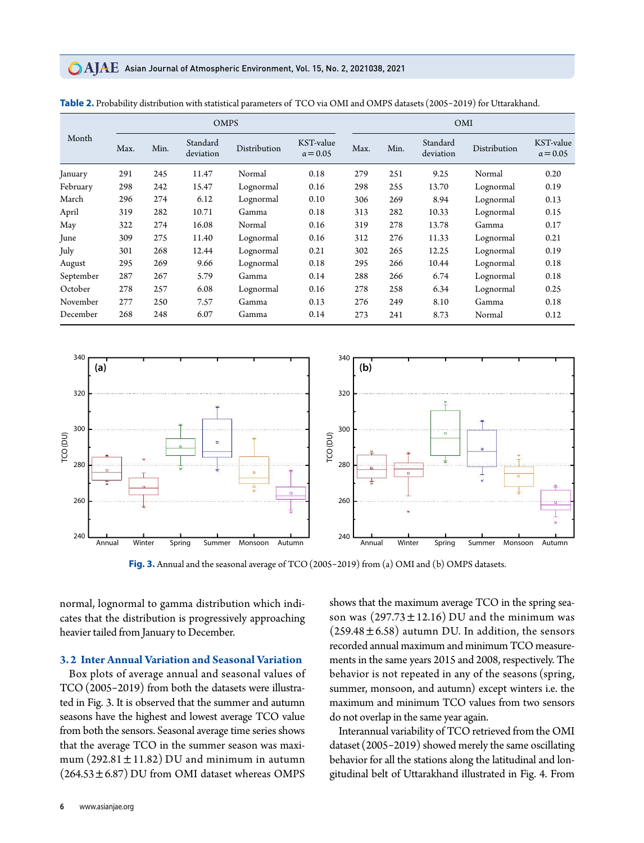## **CAIAE** Asian Journal of Atmospheric Environment, Vol. 15, No. 2, 2021038, 2021

|           |      | <b>OMPS</b> |                       |              |                              |      | <b>OMI</b> |                       |              |                              |  |
|-----------|------|-------------|-----------------------|--------------|------------------------------|------|------------|-----------------------|--------------|------------------------------|--|
| Month     | Max. | Min.        | Standard<br>deviation | Distribution | KST-value<br>$\alpha$ = 0.05 | Max. | Min.       | Standard<br>deviation | Distribution | KST-value<br>$\alpha = 0.05$ |  |
| January   | 291  | 245         | 11.47                 | Normal       | 0.18                         | 279  | 251        | 9.25                  | Normal       | 0.20                         |  |
| February  | 298  | 242         | 15.47                 | Lognormal    | 0.16                         | 298  | 255        | 13.70                 | Lognormal    | 0.19                         |  |
| March     | 296  | 274         | 6.12                  | Lognormal    | 0.10                         | 306  | 269        | 8.94                  | Lognormal    | 0.13                         |  |
| April     | 319  | 282         | 10.71                 | Gamma        | 0.18                         | 313  | 282        | 10.33                 | Lognormal    | 0.15                         |  |
| May       | 322  | 274         | 16.08                 | Normal       | 0.16                         | 319  | 278        | 13.78                 | Gamma        | 0.17                         |  |
| June      | 309  | 275         | 11.40                 | Lognormal    | 0.16                         | 312  | 276        | 11.33                 | Lognormal    | 0.21                         |  |
| July      | 301  | 268         | 12.44                 | Lognormal    | 0.21                         | 302  | 265        | 12.25                 | Lognormal    | 0.19                         |  |
| August    | 295  | 269         | 9.66                  | Lognormal    | 0.18                         | 295  | 266        | 10.44                 | Lognormal    | 0.18                         |  |
| September | 287  | 267         | 5.79                  | Gamma        | 0.14                         | 288  | 266        | 6.74                  | Lognormal    | 0.18                         |  |
| October   | 278  | 257         | 6.08                  | Lognormal    | 0.16                         | 278  | 258        | 6.34                  | Lognormal    | 0.25                         |  |
| November  | 277  | 250         | 7.57                  | Gamma        | 0.13                         | 276  | 249        | 8.10                  | Gamma        | 0.18                         |  |
| December  | 268  | 248         | 6.07                  | Gamma        | 0.14                         | 273  | 241        | 8.73                  | Normal       | 0.12                         |  |

| Table 2. Probability distribution with statistical parameters of TCO via OMI and OMPS datasets (2005-2019) for Uttarakhand. |
|-----------------------------------------------------------------------------------------------------------------------------|
|-----------------------------------------------------------------------------------------------------------------------------|



**Fig. 3.** Annual and the seasonal average of TCO(2005-2019) from (a) OMI and (b) OMPS datasets.

normal, lognormal to gamma distribution which indicates that the distribution is progressively approaching heavier tailed from January to December.

## **3.2 Inter Annual Variation and Seasonal Variation**

Box plots of average annual and seasonal values of TCO(2005-2019) from both the datasets were illustrated in Fig. 3. It is observed that the summer and autumn seasons have the highest and lowest average TCO value from both the sensors. Seasonal average time series shows that the average TCO in the summer season was maximum  $(292.81 \pm 11.82)$  DU and minimum in autumn  $(264.53 \pm 6.87)$  DU from OMI dataset whereas OMPS

shows that the maximum average TCO in the spring season was  $(297.73 \pm 12.16)$  DU and the minimum was  $(259.48 \pm 6.58)$  autumn DU. In addition, the sensors recorded annual maximum and minimum TCO measurements in the same years 2015 and 2008, respectively. The behavior is not repeated in any of the seasons (spring, summer, monsoon, and autumn) except winters i.e. the maximum and minimum TCO values from two sensors do not overlap in the same year again.

Interannual variability of TCO retrieved from the OMI dataset (2005-2019) showed merely the same oscillating behavior for all the stations along the latitudinal and longitudinal belt of Uttarakhand illustrated in Fig. 4. From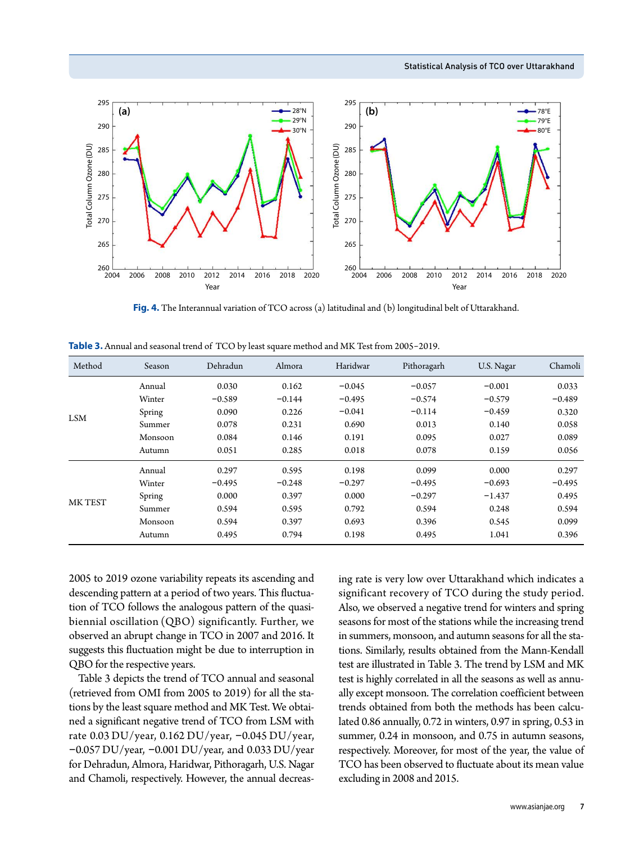

**Fig. 4.** The Interannual variation of TCO across (a) latitudinal and (b) longitudinal belt of Uttarakhand.

| Method     | Season  | Dehradun | Almora   | Haridwar | Pithoragarh | U.S. Nagar | Chamoli  |
|------------|---------|----------|----------|----------|-------------|------------|----------|
| <b>LSM</b> | Annual  | 0.030    | 0.162    | $-0.045$ | $-0.057$    | $-0.001$   | 0.033    |
|            | Winter  | $-0.589$ | $-0.144$ | $-0.495$ | $-0.574$    | $-0.579$   | $-0.489$ |
|            | Spring  | 0.090    | 0.226    | $-0.041$ | $-0.114$    | $-0.459$   | 0.320    |
|            | Summer  | 0.078    | 0.231    | 0.690    | 0.013       | 0.140      | 0.058    |
|            | Monsoon | 0.084    | 0.146    | 0.191    | 0.095       | 0.027      | 0.089    |
|            | Autumn  | 0.051    | 0.285    | 0.018    | 0.078       | 0.159      | 0.056    |
| MK TEST    | Annual  | 0.297    | 0.595    | 0.198    | 0.099       | 0.000      | 0.297    |
|            | Winter  | $-0.495$ | $-0.248$ | $-0.297$ | $-0.495$    | $-0.693$   | $-0.495$ |
|            | Spring  | 0.000    | 0.397    | 0.000    | $-0.297$    | $-1.437$   | 0.495    |
|            | Summer  | 0.594    | 0.595    | 0.792    | 0.594       | 0.248      | 0.594    |
|            | Monsoon | 0.594    | 0.397    | 0.693    | 0.396       | 0.545      | 0.099    |
|            | Autumn  | 0.495    | 0.794    | 0.198    | 0.495       | 1.041      | 0.396    |

**Table 3.** Annual and seasonal trend of TCO by least square method and MK Test from 2005-2019.

2005 to 2019 ozone variability repeats its ascending and descending pattern at a period of two years. This fluctuation of TCO follows the analogous pattern of the quasibiennial oscillation (QBO) significantly. Further, we observed an abrupt change in TCO in 2007 and 2016. It suggests this fluctuation might be due to interruption in QBO for the respective years.

Table 3 depicts the trend of TCO annual and seasonal (retrieved from OMI from 2005 to 2019) for all the stations by the least square method and MK Test. We obtained a significant negative trend of TCO from LSM with rate 0.03 DU/year, 0.162 DU/year, -0.045 DU/year,  $-0.057$  DU/year,  $-0.001$  DU/year, and  $0.033$  DU/year for Dehradun, Almora, Haridwar, Pithoragarh, U.S. Nagar and Chamoli, respectively. However, the annual decreasing rate is very low over Uttarakhand which indicates a significant recovery of TCO during the study period. Also, we observed a negative trend for winters and spring seasons for most of the stations while the increasing trend in summers, monsoon, and autumn seasons for all the stations. Similarly, results obtained from the Mann-Kendall test are illustrated in Table 3. The trend by LSM and MK test is highly correlated in all the seasons as well as annually except monsoon. The correlation coefficient between trends obtained from both the methods has been calculated 0.86 annually, 0.72 in winters, 0.97 in spring, 0.53 in summer, 0.24 in monsoon, and 0.75 in autumn seasons, respectively. Moreover, for most of the year, the value of TCO has been observed to fluctuate about its mean value excluding in 2008 and 2015.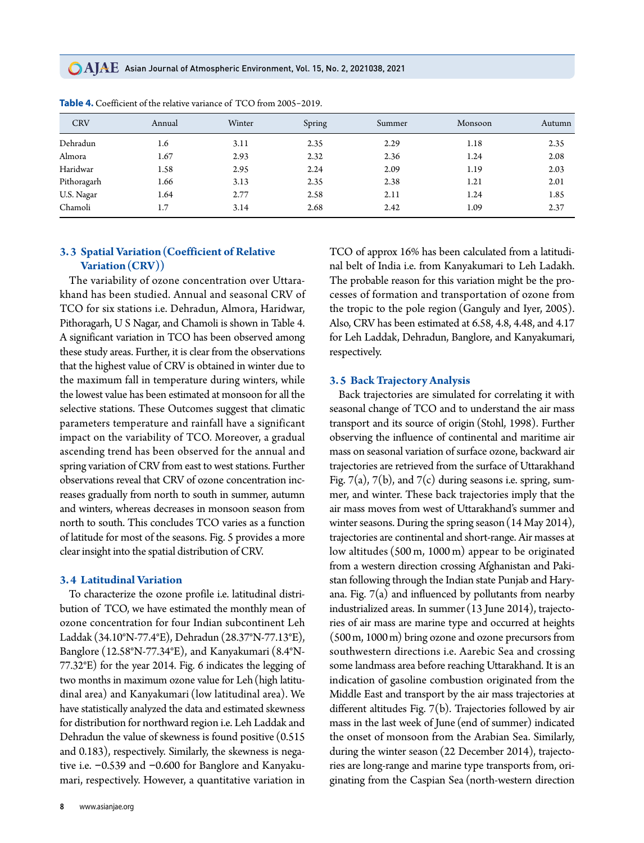**CAJAE** Asian Journal of Atmospheric Environment, Vol. 15, No. 2, 2021038, 2021

| <b>CRV</b>  | Annual | Winter | Spring | Summer | Monsoon | Autumn |
|-------------|--------|--------|--------|--------|---------|--------|
| Dehradun    | 1.6    | 3.11   | 2.35   | 2.29   | 1.18    | 2.35   |
| Almora      | 1.67   | 2.93   | 2.32   | 2.36   | 1.24    | 2.08   |
| Haridwar    | 1.58   | 2.95   | 2.24   | 2.09   | 1.19    | 2.03   |
| Pithoragarh | 1.66   | 3.13   | 2.35   | 2.38   | 1.21    | 2.01   |
| U.S. Nagar  | 1.64   | 2.77   | 2.58   | 2.11   | 1.24    | 1.85   |
| Chamoli     | 1.7    | 3.14   | 2.68   | 2.42   | 1.09    | 2.37   |

**Table 4.** Coefficient of the relative variance of TCO from 2005-2019.

# **3.3 Spatial Variation(Coefficient of Relative Variation(CRV))**

The variability of ozone concentration over Uttarakhand has been studied. Annual and seasonal CRV of TCO for six stations i.e. Dehradun, Almora, Haridwar, Pithoragarh, U S Nagar, and Chamoli is shown in Table 4. A significant variation in TCO has been observed among these study areas. Further, it is clear from the observations that the highest value of CRV is obtained in winter due to the maximum fall in temperature during winters, while the lowest value has been estimated at monsoon for all the selective stations. These Outcomes suggest that climatic parameters temperature and rainfall have a significant impact on the variability of TCO. Moreover, a gradual ascending trend has been observed for the annual and spring variation of CRV from east to west stations. Further observations reveal that CRV of ozone concentration increases gradually from north to south in summer, autumn and winters, whereas decreases in monsoon season from north to south. This concludes TCO varies as a function of latitude for most of the seasons. Fig. 5 provides a more clear insight into the spatial distribution of CRV.

#### **3.4 Latitudinal Variation**

To characterize the ozone profile i.e. latitudinal distribution of TCO, we have estimated the monthly mean of ozone concentration for four Indian subcontinent Leh Laddak (34.10°N-77.4°E), Dehradun (28.37°N-77.13°E), Banglore (12.58°N-77.34°E), and Kanyakumari (8.4°N-77.32°E) for the year 2014. Fig. 6 indicates the legging of two months in maximum ozone value for Leh (high latitudinal area) and Kanyakumari (low latitudinal area). We have statistically analyzed the data and estimated skewness for distribution for northward region i.e. Leh Laddak and Dehradun the value of skewness is found positive (0.515 and 0.183), respectively. Similarly, the skewness is negative i.e. -0.539 and -0.600 for Banglore and Kanyakumari, respectively. However, a quantitative variation in

**8** www.asianjae.org

TCO of approx 16% has been calculated from a latitudinal belt of India i.e. from Kanyakumari to Leh Ladakh. The probable reason for this variation might be the processes of formation and transportation of ozone from the tropic to the pole region (Ganguly and Iyer, 2005). Also, CRV has been estimated at 6.58, 4.8, 4.48, and 4.17 for Leh Laddak, Dehradun, Banglore, and Kanyakumari, respectively.

### **3.5 Back Trajectory Analysis**

Back trajectories are simulated for correlating it with seasonal change of TCO and to understand the air mass transport and its source of origin (Stohl, 1998). Further observing the influence of continental and maritime air mass on seasonal variation of surface ozone, backward air trajectories are retrieved from the surface of Uttarakhand Fig. 7(a), 7(b), and 7(c) during seasons i.e. spring, summer, and winter. These back trajectories imply that the air mass moves from west of Uttarakhand's summer and winter seasons. During the spring season (14 May 2014), trajectories are continental and short-range. Air masses at low altitudes (500 m, 1000 m) appear to be originated from a western direction crossing Afghanistan and Pakistan following through the Indian state Punjab and Haryana. Fig. 7(a) and influenced by pollutants from nearby industrialized areas. In summer (13 June 2014), trajectories of air mass are marine type and occurred at heights (500m, 1000m) bring ozone and ozone precursors from southwestern directions i.e. Aarebic Sea and crossing some landmass area before reaching Uttarakhand. It is an indication of gasoline combustion originated from the Middle East and transport by the air mass trajectories at different altitudes Fig. 7(b). Trajectories followed by air mass in the last week of June (end of summer) indicated the onset of monsoon from the Arabian Sea. Similarly, during the winter season (22 December 2014), trajectories are long-range and marine type transports from, originating from the Caspian Sea (north-western direction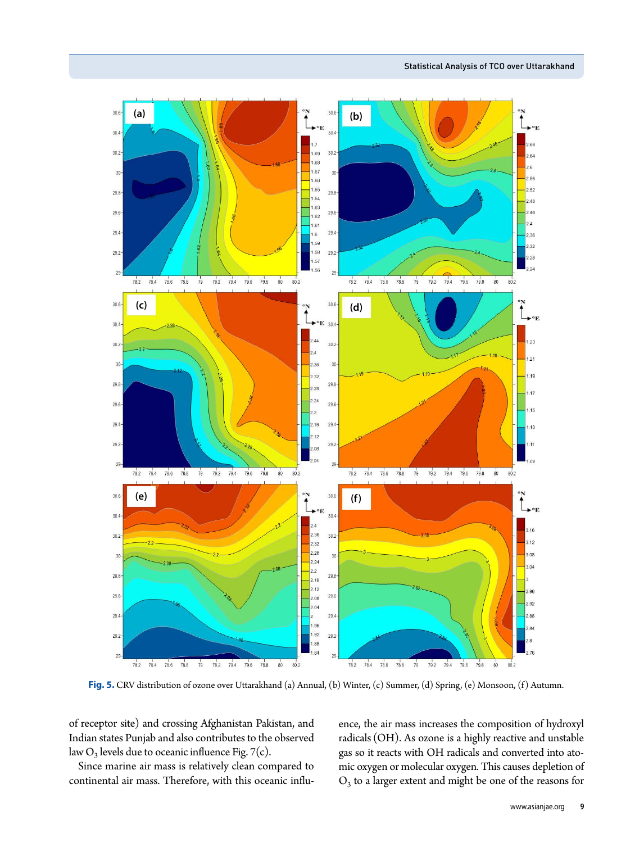

**Fig. 5.** CRV distribution of ozone over Uttarakhand (a) Annual, (b) Winter, (c) Summer, (d) Spring, (e) Monsoon, (f) Autumn.

of receptor site) and crossing Afghanistan Pakistan, and Indian states Punjab and also contributes to the observed law  $O_3$  levels due to oceanic influence Fig. 7(c).

Since marine air mass is relatively clean compared to continental air mass. Therefore, with this oceanic influence, the air mass increases the composition of hydroxyl radicals (OH). As ozone is a highly reactive and unstable gas so it reacts with OH radicals and converted into atomic oxygen or molecular oxygen. This causes depletion of  $O<sub>3</sub>$  to a larger extent and might be one of the reasons for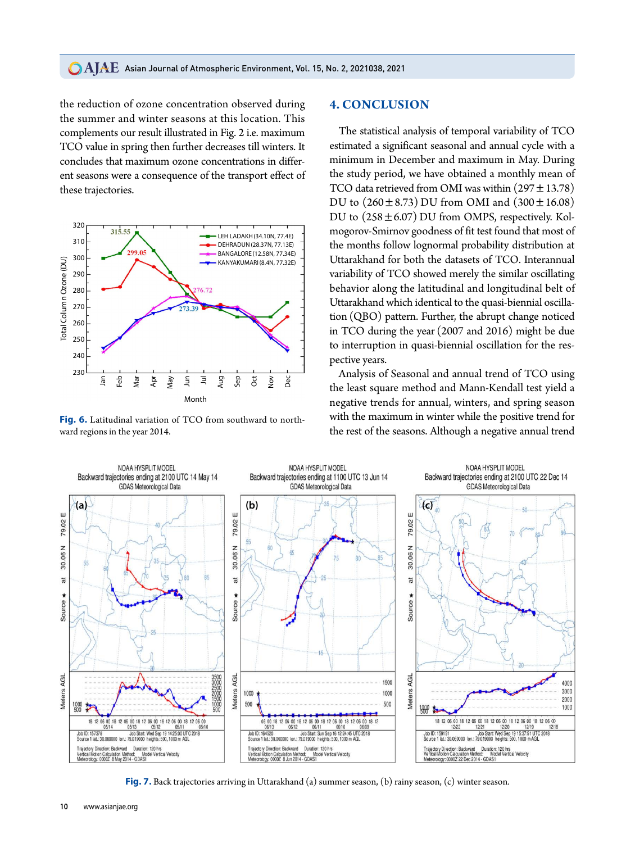#### **CAIAE** Asian Journal of Atmospheric Environment, Vol. 15, No. 2, 2021038, 2021

the reduction of ozone concentration observed during the summer and winter seasons at this location. This complements our result illustrated in Fig. 2 i.e. maximum TCO value in spring then further decreases till winters. It concludes that maximum ozone concentrations in different seasons were a consequence of the transport effect of these trajectories.



**Fig. 6.** Latitudinal variation of TCO from southward to northward regions in the year 2014.

## **4. CONCLUSION**

The statistical analysis of temporal variability of TCO estimated a significant seasonal and annual cycle with a minimum in December and maximum in May. During the study period, we have obtained a monthly mean of TCO data retrieved from OMI was within  $(297 \pm 13.78)$ DU to  $(260 \pm 8.73)$  DU from OMI and  $(300 \pm 16.08)$ DU to (258±6.07) DU from OMPS, respectively. Kolmogorov-Smirnov goodness of fit test found that most of the months follow lognormal probability distribution at Uttarakhand for both the datasets of TCO. Interannual variability of TCO showed merely the similar oscillating behavior along the latitudinal and longitudinal belt of Uttarakhand which identical to the quasi-biennial oscillation (QBO) pattern. Further, the abrupt change noticed in TCO during the year (2007 and 2016) might be due to interruption in quasi-biennial oscillation for the respective years.

Analysis of Seasonal and annual trend of TCO using the least square method and Mann-Kendall test yield a negative trends for annual, winters, and spring season with the maximum in winter while the positive trend for the rest of the seasons. Although a negative annual trend



**Fig. 7.** Back trajectories arriving in Uttarakhand (a) summer season, (b) rainy season, (c) winter season.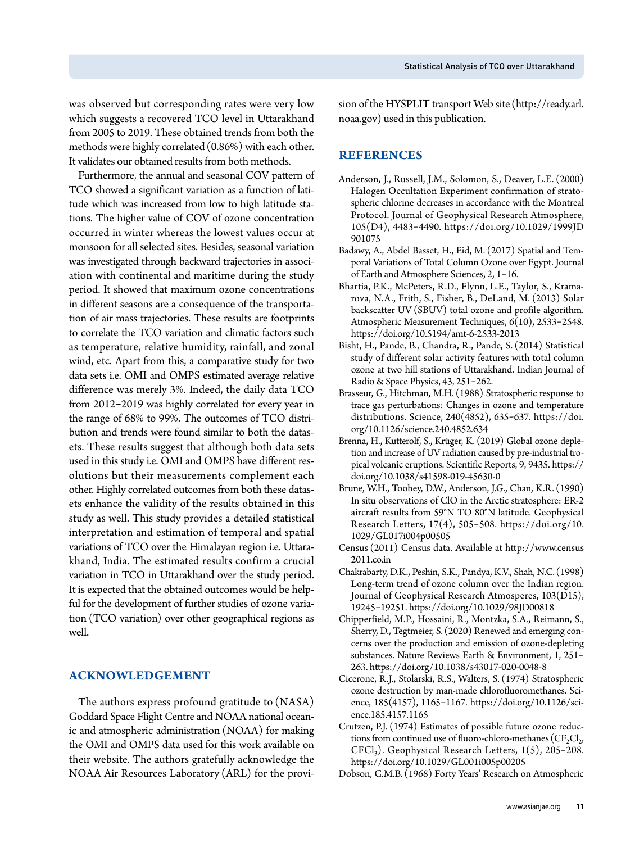was observed but corresponding rates were very low which suggests a recovered TCO level in Uttarakhand from 2005 to 2019. These obtained trends from both the methods were highly correlated (0.86%) with each other. It validates our obtained results from both methods.

Furthermore, the annual and seasonal COV pattern of TCO showed a significant variation as a function of latitude which was increased from low to high latitude stations. The higher value of COV of ozone concentration occurred in winter whereas the lowest values occur at monsoon for all selected sites. Besides, seasonal variation was investigated through backward trajectories in association with continental and maritime during the study period. It showed that maximum ozone concentrations in different seasons are a consequence of the transportation of air mass trajectories. These results are footprints to correlate the TCO variation and climatic factors such as temperature, relative humidity, rainfall, and zonal wind, etc. Apart from this, a comparative study for two data sets i.e. OMI and OMPS estimated average relative difference was merely 3%. Indeed, the daily data TCO from 2012-2019 was highly correlated for every year in the range of 68% to 99%. The outcomes of TCO distribution and trends were found similar to both the datasets. These results suggest that although both data sets used in this study i.e. OMI and OMPS have different resolutions but their measurements complement each other. Highly correlated outcomes from both these datasets enhance the validity of the results obtained in this study as well. This study provides a detailed statistical interpretation and estimation of temporal and spatial variations of TCO over the Himalayan region i.e. Uttarakhand, India. The estimated results confirm a crucial variation in TCO in Uttarakhand over the study period. It is expected that the obtained outcomes would be helpful for the development of further studies of ozone variation (TCO variation) over other geographical regions as well.

# **ACKNOWLEDGEMENT**

The authors express profound gratitude to (NASA) Goddard Space Flight Centre and NOAA national oceanic and atmospheric administration (NOAA) for making the OMI and OMPS data used for this work available on their website. The authors gratefully acknowledge the NOAA Air Resources Laboratory (ARL) for the provision of the HYSPLIT transport Web site(http://ready.arl. noaa.gov) used in this publication.

# **REFERENCES**

- Anderson, J., Russell, J.M., Solomon, S., Deaver, L.E. (2000) Halogen Occultation Experiment confirmation of stratospheric chlorine decreases in accordance with the Montreal Protocol. Journal of Geophysical Research Atmosphere, 105(D4), 4483-4490. https://doi.org/10.1029/1999JD 901075
- Badawy, A., Abdel Basset, H., Eid, M. (2017) Spatial and Temporal Variations of Total Column Ozone over Egypt. Journal of Earth and Atmosphere Sciences, 2, 1-16.
- Bhartia, P.K., McPeters, R.D., Flynn, L.E., Taylor, S., Kramarova, N.A., Frith, S., Fisher, B., DeLand, M. (2013) Solar backscatter UV (SBUV) total ozone and profile algorithm. Atmospheric Measurement Techniques, 6(10), 2533-2548. https://doi.org/10.5194/amt-6-2533-2013
- Bisht, H., Pande, B., Chandra, R., Pande, S. (2014) Statistical study of different solar activity features with total column ozone at two hill stations of Uttarakhand. Indian Journal of Radio & Space Physics, 43, 251-262.
- Brasseur, G., Hitchman, M.H. (1988) Stratospheric response to trace gas perturbations: Changes in ozone and temperature distributions. Science, 240(4852), 635-637. https://doi. org/10.1126/science.240.4852.634
- Brenna, H., Kutterolf, S., Krüger, K. (2019) Global ozone depletion and increase of UV radiation caused by pre-industrial tropical volcanic eruptions. Scientific Reports, 9, 9435. https:// doi.org/10.1038/s41598-019-45630-0
- Brune, W.H., Toohey, D.W., Anderson, J.G., Chan, K.R. (1990) In situ observations of ClO in the Arctic stratosphere: ER-2 aircraft results from 59°N TO 80°N latitude. Geophysical Research Letters, 17(4), 505-508. https://doi.org/10. 1029/GL017i004p00505
- Census (2011) Census data. Available at http://www.census 2011.co.in
- Chakrabarty, D.K., Peshin, S.K., Pandya, K.V., Shah, N.C. (1998) Long-term trend of ozone column over the Indian region. Journal of Geophysical Research Atmosperes, 103(D15), 19245-19251. https://doi.org/10.1029/98JD00818
- Chipperfield, M.P., Hossaini, R., Montzka, S.A., Reimann, S., Sherry, D., Tegtmeier, S. (2020) Renewed and emerging concerns over the production and emission of ozone-depleting substances. Nature Reviews Earth & Environment, 1, 251- 263. https://doi.org/10.1038/s43017-020-0048-8
- Cicerone, R.J., Stolarski, R.S., Walters, S. (1974) Stratospheric ozone destruction by man-made chlorofluoromethanes. Science, 185(4157), 1165-1167. https://doi.org/10.1126/science.185.4157.1165
- Crutzen, P.J. (1974) Estimates of possible future ozone reductions from continued use of fluoro-chloro-methanes  $(CF_2Cl_2)$ ,  $CFCI<sub>3</sub>$ ). Geophysical Research Letters,  $1(5)$ , 205-208. https://doi.org/10.1029/GL001i005p00205
- Dobson, G.M.B. (1968) Forty Years' Research on Atmospheric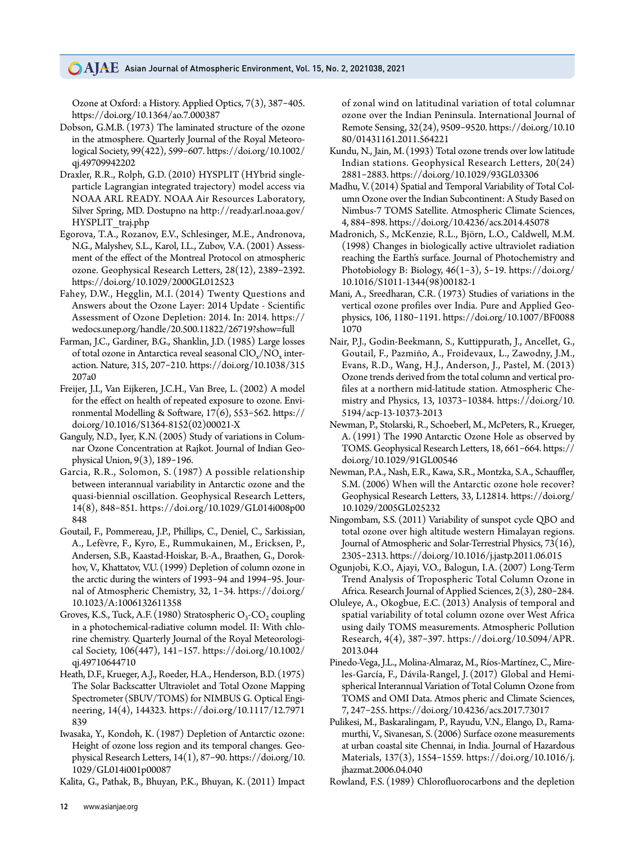Ozone at Oxford: a History. Applied Optics, 7(3), 387-405. https://doi.org/10.1364/ao.7.000387

- Dobson, G.M.B. (1973) The laminated structure of the ozone in the atmosphere. Quarterly Journal of the Royal Meteorological Society, 99(422), 599-607. https://doi.org/10.1002/ qj.49709942202
- Draxler, R.R., Rolph, G.D. (2010) HYSPLIT (HYbrid singleparticle Lagrangian integrated trajectory) model access via NOAA ARL READY. NOAA Air Resources Laboratory, Silver Spring, MD. Dostupno na http://ready.arl.noaa.gov/ HYSPLIT\_traj.php
- Egorova, T.A., Rozanov, E.V., Schlesinger, M.E., Andronova, N.G., Malyshev, S.L., Karol, I.L., Zubov, V.A. (2001) Assessment of the effect of the Montreal Protocol on atmospheric ozone. Geophysical Research Letters, 28(12), 2389-2392. https://doi.org/10.1029/2000GL012523
- Fahey, D.W., Hegglin, M.I. (2014) Twenty Questions and Answers about the Ozone Layer: 2014 Update - Scientific Assessment of Ozone Depletion: 2014. In: 2014. https:// wedocs.unep.org/handle/20.500.11822/26719?show=full
- Farman, J.C., Gardiner, B.G., Shanklin, J.D. (1985) Large losses of total ozone in Antarctica reveal seasonal  $\text{ClO}_x/\text{NO}_x$  interaction. Nature, 315, 207-210. https://doi.org/10.1038/315 207a0
- Freijer, J.I., Van Eijkeren, J.C.H., Van Bree, L. (2002) A model for the effect on health of repeated exposure to ozone. Environmental Modelling & Software, 17(6), 553-562. https:// doi.org/10.1016/S1364-8152(02)00021-X
- Ganguly, N.D., Iyer, K.N. (2005) Study of variations in Columnar Ozone Concentration at Rajkot. Journal of Indian Geophysical Union, 9(3), 189-196.
- Garcia, R.R., Solomon, S. (1987) A possible relationship between interannual variability in Antarctic ozone and the quasi-biennial oscillation. Geophysical Research Letters, 14(8), 848-851. https://doi.org/10.1029/GL014i008p00 848
- Goutail, F., Pommereau, J.P., Phillips, C., Deniel, C., Sarkissian, A., Lefèvre, F., Kyro, E., Rummukainen, M., Ericksen, P., Andersen, S.B., Kaastad-Hoiskar, B.-A., Braathen, G., Dorokhov, V., Khattatov, V.U. (1999) Depletion of column ozone in the arctic during the winters of 1993-94 and 1994-95. Journal of Atmospheric Chemistry, 32, 1-34. https://doi.org/ 10.1023/A:1006132611358
- Groves, K.S., Tuck, A.F. (1980) Stratospheric  $O_3$ -CO<sub>2</sub> coupling in a photochemical-radiative column model. II: With chlorine chemistry. Quarterly Journal of the Royal Meteorological Society, 106(447), 141-157. https://doi.org/10.1002/ qj.49710644710
- Heath, D.F., Krueger, A.J., Roeder, H.A., Henderson, B.D. (1975) The Solar Backscatter Ultraviolet and Total Ozone Mapping Spectrometer (SBUV/TOMS) for NIMBUS G. Optical Engineering, 14(4), 144323. https://doi.org/10.1117/12.7971 839
- Iwasaka, Y., Kondoh, K. (1987) Depletion of Antarctic ozone: Height of ozone loss region and its temporal changes. Geophysical Research Letters, 14(1), 87-90. https://doi.org/10. 1029/GL014i001p00087

Kalita, G., Pathak, B., Bhuyan, P.K., Bhuyan, K. (2011) Impact

of zonal wind on latitudinal variation of total columnar ozone over the Indian Peninsula. International Journal of Remote Sensing, 32(24), 9509-9520. https://doi.org/10.10 80/01431161.2011.564221

- Kundu, N., Jain, M. (1993) Total ozone trends over low latitude Indian stations. Geophysical Research Letters, 20(24) 2881-2883. https://doi.org/10.1029/93GL03306
- Madhu, V. (2014) Spatial and Temporal Variability of Total Column Ozone over the Indian Subcontinent: A Study Based on Nimbus-7 TOMS Satellite. Atmospheric Climate Sciences, 4, 884-898. https://doi.org/10.4236/acs.2014.45078
- Madronich, S., McKenzie, R.L., Björn, L.O., Caldwell, M.M. (1998) Changes in biologically active ultraviolet radiation reaching the Earth's surface. Journal of Photochemistry and Photobiology B: Biology,  $46(1-3)$ , 5-19. https://doi.org/ 10.1016/S1011-1344(98)00182-1
- Mani, A., Sreedharan, C.R. (1973) Studies of variations in the vertical ozone profiles over India. Pure and Applied Geophysics, 106, 1180-1191. https://doi.org/10.1007/BF0088 1070
- Nair, P.J., Godin-Beekmann, S., Kuttippurath, J., Ancellet, G., Goutail, F., Pazmiño, A., Froidevaux, L., Zawodny, J.M., Evans, R.D., Wang, H.J., Anderson, J., Pastel, M. (2013) Ozone trends derived from the total column and vertical profiles at a northern mid-latitude station. Atmospheric Chemistry and Physics, 13, 10373-10384. https://doi.org/10. 5194/acp-13-10373-2013
- Newman, P., Stolarski, R., Schoeberl, M., McPeters, R., Krueger, A. (1991) The 1990 Antarctic Ozone Hole as observed by TOMS. Geophysical Research Letters, 18, 661-664. https:// doi.org/10.1029/91GL00546
- Newman, P.A., Nash, E.R., Kawa, S.R., Montzka, S.A., Schauffler, S.M. (2006) When will the Antarctic ozone hole recover? Geophysical Research Letters, 33, L12814. https://doi.org/ 10.1029/2005GL025232
- Ningombam, S.S. (2011) Variability of sunspot cycle QBO and total ozone over high altitude western Himalayan regions. Journal of Atmospheric and Solar-Terrestrial Physics, 73(16), 2305-2313. https://doi.org/10.1016/j.jastp.2011.06.015
- Ogunjobi, K.O., Ajayi, V.O., Balogun, I.A. (2007) Long-Term Trend Analysis of Tropospheric Total Column Ozone in Africa. Research Journal of Applied Sciences, 2(3), 280-284.
- Oluleye, A., Okogbue, E.C. (2013) Analysis of temporal and spatial variability of total column ozone over West Africa using daily TOMS measurements. Atmospheric Pollution Research, 4(4), 387-397. https://doi.org/10.5094/APR. 2013.044
- Pinedo-Vega, J.L., Molina-Almaraz, M., Ríos-Martínez, C., Mireles-García, F., Dávila-Rangel, J. (2017) Global and Hemispherical Interannual Variation of Total Column Ozone from TOMS and OMI Data. Atmos pheric and Climate Sciences, 7, 247-255. https://doi.org/10.4236/acs.2017.73017
- Pulikesi, M., Baskaralingam, P., Rayudu, V.N., Elango, D., Ramamurthi, V., Sivanesan, S. (2006) Surface ozone measurements at urban coastal site Chennai, in India. Journal of Hazardous Materials, 137(3), 1554-1559. https://doi.org/10.1016/j. jhazmat.2006.04.040

Rowland, F.S. (1989) Chlorofluorocarbons and the depletion